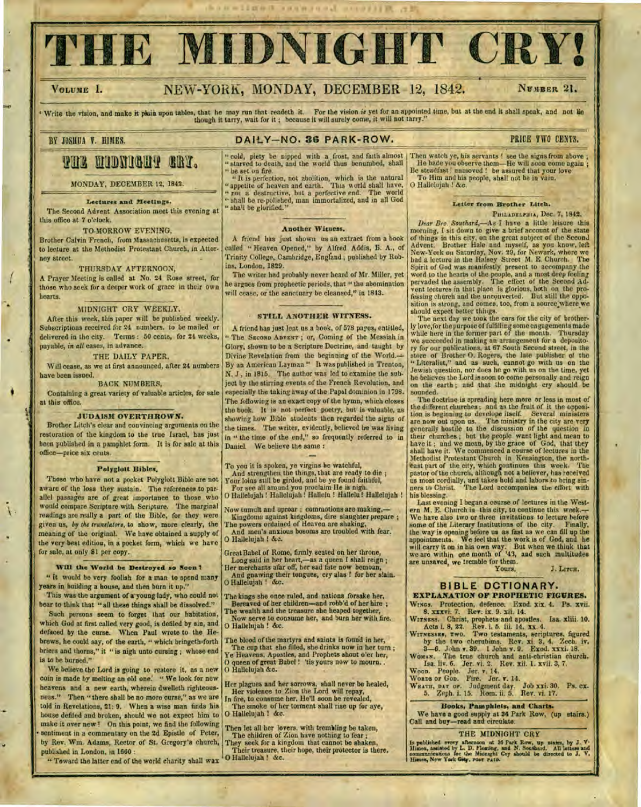# IE MIDNIGHT CRY!

# VOLUME I. NEW-YORK, MONDAY, DECEMBER 12, 1842. NUMBER 21.

Write the vision, and make it piain upon tables, that he may run that readeth it. For the vision *is* yet for an appointed time, but at the end it shall speak, and not ke though it tarry, wait for it; because it will surely come, it will not tarry."

### BY JOSHUA Y. HIMES. **DAILY-NO. 36 PARK-ROW.** PRICE TWO CENTS.

**THE MIDNIGHT GRY.** 

MONDAY, DECEMBER 12, **1842.** 

#### **Lectures and Meetings.**

**The** Second Advent Association meet this evening at this office at 7 o'clock.

## TO-MORROW EVENING,

Brother Calvin French, from Massachusetts, is expected to lecture at the Methodist Protestant Church, in Attorney street.

#### THURSDAY AFTERNOON,

A Prayer Meeting is called at No. 24 Rose street, for those who seek for a deeper work of grace in their own hearts.

#### MIDNIGHT CRY WEEKLY.

After this week, this paper will be published weekly. Subscriptions received for 24 numbers, to be mailed or delivered in the city. Terms : 50 cents, for 24 weeks, payable, in *all* cases, in advance.

#### THE DAILY PAPER,

Will cease, as we at first announced, after 24 numbers have been issued.

#### BACK NUMBERS,

Containing a great variety of valuable articles, for sale at this office.

#### **JUDAISM OVERTHROIVN.**

Brother Litchis clear and convincing arguments on the restoration of the kingdom to the true Israel, has just been published in a pamphlet form. It is for sale at this office-price six cents.

#### **Polyglott Bibles.**

Those who have not a pocket Polyglott Bible are not aware of the loss they sustain. The references to parallel passages are of great importance to those who would compare Scripture with Scripture. The marginal readings are really a part of the Bible, for they were given us, *by the translators,* to show, more clearly, the meaning of the original. We have obtained a supply of the very best edition, in a pocket form, which we have for sale, at only \$1 per copy.

#### **Will the World be Destroyed so Soont**

**"** It would be very foolish for a man to spend many years in building a house, and then burn it up."

This was the argument of ayoung lady, who could not bear to think that "all these things shall be dissolved."

Such persons seem to forget that our habitation, which God at first called very good, is defiled by sin, and defaced by the curse. When Paul wrote to the Hebrews, he could say, of the earth, " which bringeth-forth briers and thorns," it " is nigh unto cursing ; whose end is to he burned."

We believe the Lord is going to restore it, as a new coin is made by melting an old one.' " We look for new heavens and a new earth, wherein dwelleth righteousness." Then " there shall be no more curse," as we are told in Revelations, **21:** 9. When a wise man finds his house defiled and broken, should we not expect him to make it over new! On this point, we find the following sentiment in a commentary on the 2d Epistle of Peter, by Rev. Wm. Adams, Rector of St. Gregory's church, published in London, in 1660 :

" Toward the latter end of the world charity shall wax

"It is perfection, not abolition, which is the natural Be steadfast! unmoved! be assured that your love "It is perfection, not abolition, which is the natural "To Him and his people, shall not be in vain.<br>"appetite of heav

#### **Another Witness.**

A friend has just shown us an extract from a book called " Heaven Opened," by Alfred Addis, B. A., of Trinity College, Cambridge, Engfand ; published by Robins, London, 1829.

The writer had probably never heard of Mr. Miller, yet he argues from prophectic periods, that " the abomination will cease, or the sanctuary be cleansed," in 1813.

#### **- STILL ANOTHER WITNESS.**

A friend has just lent us a book, of 578 pages, entitled, " The **SECOND ADVENT ;** or, Coming of the Messiah in Glory, shown to be a Scripture Doctrine, and taught by Divine Revelation from the beginning of the World. By an American Layman." It was published in Trenton, N. J , in 1815. The author was led to examine the subject by the stirring events of the French Revolution, and especially the taking away of the Papal dominion in 1798. The following is an exact copy of the hymn, which closes the book. It is not perfect poetry, but is valuable, as showing how Bible students then regarded the signs of the times. The writer, evidently, believed he was living in " the time of the end," so frequently referred to in Daniel. We believe **the** same :

To you it is spoken, ye virgins he watchful,

And strengthen the things, that are ready to die ; Your loins still be girded, and be ye found faithful, For see all around you proclaim He is nigh. O Hallelujah ! Hallelujah ! Hallelu ! Hallelu ! Hallelujah

Now tumult and uproar ; cornmotions are making,- Kingdoms against kingdoms, dire slaughter prepare ;

The powers ordained of Heaven are shaking, And men's anxious bosoms are troubled with fear. O Hallelujah ! &c.

Great Babel of Rome, firmly seated on her throne, Long said in her heart,-as a queen I shall reign ; Her merchants afar off, her sad fate now bemoan, And gnawing their tongues, cry alas ! for her slain. 0 Hallelujah ! &c.

The kings she once ruled, and nations forsake her, Bereaved of her children-and robb'd of her hire ;

The wealth and the treasure she heaped together, Now serve to consume her, and burn her with fire. O Hallelujah ! &c.

**The** blood of the martyrs and saints is found in her, The cup that she filled, she drinks now in her turn ; Ye Heavens, Apostles, and Prophets shout o'er her, O queen of great Babel ! 'tis yours now to mourn. • 0 Hallelujah &c.

Her plagues and her sorrows, shall never be healed,

Her violence to Zion the Lord will repay, In fire, to consume her, He'll soon be revealed, The smoke of her torment shall rise **up** for aye, O Hallelujah ! &c.

Then let all her lovers, with tremiling be taken, The children of Zion have nothing to fear ;

They seek for a kingdom that cannot be shaken, Their treasure, their hope, their protector is there. 0 Hallelujah ! &c.

" cold, piety be nipped with a frost, and faith almost | Then watch ye, his servants ! see the signs from above ;<br>"starved to death, and the world thus benumbed, shall | He bade you observe them—He will soon come again ; " He bade you observe them--He will soon come again ; Be steadfast! unmoved! be assured that your love

#### **Letter from Brother Litch.**

**PHILADELPHIA,** Dec. 7, **1842.** 

*Dear Bro. Southard,-As* I have a little leisure this morning, I sit down to give a brief account of the state<br>of things in this city, on the great subject of the Second<br>Advent. Brother Hele and myself, as you know, left<br>New-York on Saturday, Nov: 29, for Newark, where we<br>had word to the hearts of the people, and a most deep feeling pervaded the assembly. The effect of the Second Ad-vent lectures in that place is glorious, both on the pro-fessing church and the unconverted. But still the opposition is strong, and comes, too, from a source where we

should expect better things. The next day we took the cars for the city of brother-ly love,for the purpose of fulfilling some engagements made while here in the former part of the month. Thursday we succeeded in making an arrangement for a deposito-ry for our publications, at 67 South Second street, in the store of Brother 0. Rogers, the late publisher of the "Literalist," and as such, cannot go with us on the Jewish question, nor does he go with us on the time, yet he believes the Lord is soon to come personally and reign on the earth ; and that the midnight cry should be sounded.

The doctrine is spreading here more or less in most of<br>the different churches; and as the fruit of it the opposi-<br>tion is beginning to develope itself. Several ministers<br>are now out upon us. The ministry in the city are v have it ; and we mean, by the grace of God, that they shall have it. We commenced a course of lectures in the Methodist Protestant Church in Kensington, the northeast part of the city, which continues this week. The pastor of the church, although not a believer, has received us most cordially, and takes hold and labors to bring sinners to Christ. The Lord accompanies the effort wit his blessing.

Last evening I began a course of lectures in the Western M. E. Church in this city, to continue this week.—<br>We have also two or three invitations to lecture before some of the Literary Institutions of the city. Finally, the way is opening before us as fast as we can fill up the appointments. We feel that the work is of God, and he will carry it on in his own way. But when we think th are unsaved, we tremble for them.<br>Yours,

Yours, *J.* **LITCH.** 

#### **BIBLE DCTIONARY.**

**EXPLANATION OF PROPHETIC FIGURES.**  WINGS. Protection, defence. Exod. xix. 4. Ps. xvii. 8. xxxvi. 7. Rev. ix. 9. xii. 14.

Wirssss. Christ, prophets and apostles. Isa. xliii. 10.<br>
Acts I. 8, 22. Rev. I. 5. iii. 14, xx. 4.<br>
Wirssses, xwo. Two testaments, seriptures, figured<br>
by the two cherubims. Rev. xi. 3, 4. Zeeh. iv.<br>
3-6. John v. 39. 1 Joh

Woman. The true church and anti-christian church.<br>
Isa. liv. 6. Jer. vi. 2. Rev. xii. 1. xvii. 3, 7.<br>
Woon. People. Jer. vi. 4.<br>
Woman or Gon. Fire. Jer. v. 14.<br>
Wkarn, par or. Judgment day. Job xxi. 30. Ps. cx.<br>
5. Zeph.

**Books, Pamphlets, and Charts.** 

We have a good supply at 36 Park Row, (up stairs.) Call and buy-read and circulate.

#### THE MIDNIGHT CRY

Is published every afternoon at 36 Park Row, up states, by J. V. Dimes, assisted by L. D. Plenting, and N. Southard. All letters and Monumenties for the Midning, and N. Southard. All letters and Himnes, New York Gity, rose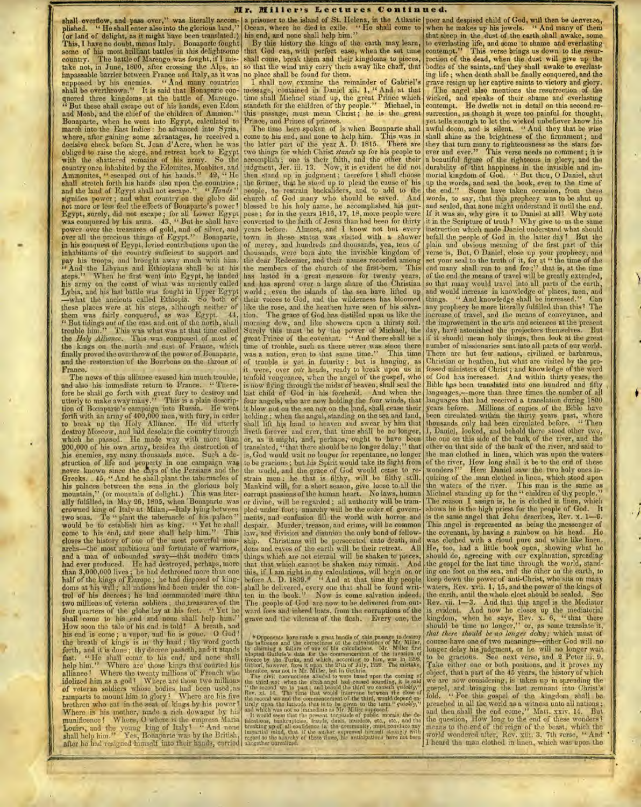shall overflow, and pass over," was literally accomplished. "He shall enter also into the glorious land," (or land of delight, as it might have been translated.) This, I have no doubt, means Italy. Bonaparte fought some of his most brilliant battles in this delightsome country. The battle of Marengo was fought, if I mistake not, in June, 1800, after crossing the Alps, an impassable barrier between France and Italy, as it was supposed by his enemies. " And many countries shall be overthrown." It is said that Bonaparte conquered three kingdoms at the battle of Marengo. " But these shall escape out of his hands, even Edom and Moab, and the chief of the children of Ammon. Bonaparte, when he went into Egypt, calculated to march into the East Indies : he advanced into Syria, where, after *gaining* some advantages, he received a decisive check before St. Jean d'Acre, when he was obliged to raise the siegé, and retreat back to Egypt obliged to raise the siege, and retreat back to Egypt with the shattered remains of his army. So the country once inhabited by the Edomites, Moabites, and Ammonites, " escaped out of his hands." 42, " He shall stretch forth his hands also upon the countries ; and the land of Egypt shall not escape." " *Hands "*  and the land of Egypt shall not escape." "Hands" signifies power; and what country on the globe did not more or less feel the effects of Bonaparte's power ? Egypt, surely, did not escape ; for all Lower Egypt was conquered by his arms. 43, " But he shall have power over the treasures of gold, and of silver, and over all the precious things of Egypt." Bonaparte, over all the precious things of Egypt." Bonaparte, in his conquest of Egypt, levied contributions upon the inhabitants of the country sufficient to support and pay his troops, and brought away much with him. " And the Libyans and Ethiopians shall be at his steps." When he first went into Egypt, he landed his army on the coast of what was anciently called Lybia, and his last battle was fought in Upper Egypt —what the ancients called Ethiopia. So both of these places were at his steps, although neither of them was fairly conquered, as was Egypt. 44, " But tidings out of the east and out of the north, shall trouble him." This was what was at that time called trouble him." This was what was at that time called the *Holy Alliance.* This was composed of most of the Holy Alliance. This was composed of most of the kings on the north and east of France, which finally proved the overthrow of the power of Bonaparte, and the restoration of the Bourbons on the throne of Franco.

The news of this alliance caused him much trouble, and also his immediate return to France. "Therefore he shall go forth with great fury to destroy and utterly to make away many." This is a plain description of Bonaparte's campaign into Russia. He went<br>forth with an army of 400,000 men, with fury, in order<br>to break up the Holy Alliance. He did utterly<br>destroy Moscow, and laid desolate the country through<br>which he passed. 200,000 of his own army, besides the destruction of his enemies, say many thousands more. Such a destruction of life and property in one campaign wag never known since the days of the Persians and the Greeks.. 45, " And he shall plant the tabernacles of **his** palaces between the seas in the glorious holy mountain," (or mountain of delight.) This was literally fulfilled, in May 26, 1805, when 'Bonaparte was crowned king of Italy at Milan,—Italy lying between **two** seas. To " plant the tabernacle of his palace " would be to establish him as king. come to his end, and none shall help him." This closes the history of one of the most powerful monarchs—the most ambitious and fortunate of warriors, and a man of unbounded sway—that modern times **had** ever produced. He had destroyed, perhaps, more than 3,000,000 lives ; he had dethroned more than one half of the kings of Europe ; he had disposed of kingdoms at his will ; all nations had been under the control of his decrees ; he had commanded more than two millions of, veteran soldiers; the treasures of the four quarters of the globe lay at his feet. " Yet he shall come to his end and none shall help him." How soon the tale of his end is told! A breath, and How soon the tale of his end is told! A breath, and his end is come; a vapor, and he is gone. O God! the breath of kings is in thy hand ; thy word goeth forth, and it is done ; thy decree passeth, and. it stands fast. " He shall come to his end, and none shall help him." Where are those kings that courted his alliance? Where the twenty millions of French who **idolized** him as a god? Where are those two millions **of** veteran soldiers whose bodies had been used ,as ramparts to mount him to glory ? Where are his five brethren who sat in the seat of kings by his power? Where is his mother, made a rich dowager by his munificence ! Where, O where is the empress Maria Louisa, and the young king of Italy? " And none shall help him." Yes, Bonaparte was by the British, **after** he had resigned -himself into their hands, carried

a prisoner to the island of St. Helena, in the Atlantic Ocean, where he died in exile. " He shall come to his end, and none shall help him." Ocean, where he died in exile. "He shall come to<br>his end, and none shall help him."<br>By this history the kings of the earth may learn,

that God can, with perfect ease, when the set time shall come, break them and their kingdoms to pieces, so that the wind may carry them away like chaff, that no place shall be found for them.

I shall now examine the remainder of Gabriel's message, contained in Daniel xii. **1, "** And at that time shall Michael stand up, the great Prince which. standeth for the children of thy people." Michael, in this passage, must . mean Christ ; *he* is the great Prince, and Prince of princes.

The time here spoken of is when Bonaparte shall come to his end, and none to help him. This was in the latter part of the year A. D. 1815. There are two things for which Christ *stands up* for his people to accomplish ; one is their faith, and the other their judgment, Jer. iii. 13. Now, it is evident he did not then stand up in judgment; therefore I shall choose the former, that lie stood up to plead the cause of his people, to restrain backsliders, and to add to the church of God many who should be saved. And blessed be his holy name, he accomplished his purpose ; for in the years 1816, 17, 18, more people were converted to the faith of Jesus than had been for thirty years before. Almost, and I know not but every town in these- states was visited with a shower of mercy, and hundreds and thousands, yea, tens of thousands, were born into the invisible kingdom of thousands, were born into the invisible kingdom of the dear Redeemer, and their names recorded among the members of the church of the first-born. This has lasted in a great measure for twenty years, and has spread over a large share of the Christian world ; even the islands of the sea have lifted up their voices to God, and the wilderness has bloomed like the rose, and the heathen have seen of his salvation. The grace of God has distilled upon us like the morning dew, and like showers upon a thirsty soil. Surely this must be by the power of Michael, the great Prince of the covenant. " And there shall be a great Prince of the covenant. "And there shall be a time of trouble, such as there never was since there was a nation, even to that same time." This time was a nation, even to that same time.' of trouble is yet in futurity : but is hanging, as it were, over our heads, ready to bieak upon us in tenfold vengeance, when the angel of the gospel, who is now flying through the midst of heaven, shall seal the last child of God in his forehead. And when the four angels, who are now holding the four winds, that it blow not on the sea nor on the land, shall cease their holding ; when the angel, standing on the sea.and land, shall lift his hand to heaven and swear by him that liveth forever and ever, that time shall be no longer, or, as it might, and, perhaps; ought to have been translated, "that there should be no longer delay ; " that is, God would wait no longer for repentance, no longer to be gracious ; but his Spirit would take its flight from the world, and the grace of God would cease to restrain men ; he that is filthy, will be filthy still. Mankind will, for a short season, give loose to.all the corrupt passions of the human heart. No laws, human or divine, will be regarded ; all authority will be trample& under foot ; anarchy will be the order of governments, and confusion fill the world with horror and despair. Murder, treason, and crime, will be common law, and division and disunion the only bond of fellow<br>ship. Christians will be persecuted unto death, an Christians will be persecuted unto death, and<br>nd caves of the earth will be their retreat. All dens and caves of the earth will be their retreat. things which are not eternal will be shaken to pieces,<br>that that which cannot be shaken may remain. And that that which cannot be shaken may remain. this, if I am right in my calculations, will begin on or before A. D. 1839.<sup>\*</sup> " And at that time thy people shall be delivered, every one that shall be found writ-ten in the book." Now is come salvation indeed. ten in the book." Now is come salvation indeed.<br>The people of God are now to be delivered from outward foes and inbred lusts, from the corruptions of the grave and the vileness of the flesh. Every one, the

\* Or<br>popennis have made a great handle of this passage to destroy<br>the influence and the corrections of Mr. Miller, by claiming a failure of one of this calculations. Mr. Miller first addepted Guldive's data for the commen

**-1/.11,130:=11110,1.7213.0aa=0/=.111113....... .....13.03S.WV.31.21,11.10,02,34=3.10.1.2=It** 

poor and despised child of God, will then be denverao, when he makes up his jewels. " And many of them that sleep in the dust of the earth shall awake, some to everlasting life, and some to shame and everlasting: contempt." This verse brings us down to the resurrection of the dead, when the dust will give up the bodies of the saints, and they shall awake to everlasting life ; when death shall be finally conquered, and the grave resign up her captive saints to victory and glory. The angel also mentions the resurrection of the wicked, and speaks of their shame and everlasting contempt. He dwells not in detail on this second resurrection, as though it were too painful for thought, yet tells enough to let the wicked unbeliever know his awful doom, and is silent. " And they that be wise shall shine as the brightness of the firmament; and they that turn many to righteousness as the stars forever and ever." This verse needs no comment; it is a beautiful figure of the righteous in glory, and the durability of that happiness in the invisible and im-mortal kingdom of God. " But thou, **0** Daniel, shut up the words, and seal the book, even to the time of the end." Some have taken occasion, from these words, to say, that this prophecy was to *be* shut up and sealed, that none might understand it until the end. If it was so, why give it to Daniel at all? Why note it in the Scripture of truth ? Why give to us the same instruction which made Daniel understand what should befall the people of God in the latter day? But the plain and obvious meaning of the first part of this obvious meaning of the first part of this verse is, But, 0 Daniel, close up your prophecy, and set your seal to the truth of it, for at " the time of the end many shall run to and fro;" that is, at the time of the end the means of travel will be greatly extended, so that many would travel into all parts of the earth, and would increase in knowledge of places, men, and things. " And knowledge shall be increased." Can any prophecy be more literally fulfilled than this ? The increase of travel, and the means of conveyance, and the improvement in the arts and sciences at the present day, have astonished the projectors themselves. But if it should mean holy things, then look at the great number of missionaries sent into all parts of our world. There are but few nations, civilized or barbarous, Christian or heathen, but what are visited by the professed ministers of Christ ; and knowledge of the word of God has increased. And within thirty years, the Bible has been translated into one hundred and fifty languages,—more than three times the number of all languages that had received a translation during 1800 years before. Millions of copies of the Bible have been circulated within the thirty years past, where thousands only had been circulated before. " Then I, Daniel, looked, and behold there stood other two, the one on this side of the bank of the river, and the other on that side of the bank of the river, and said to the man clothed in linen, which was upon the waters of the river, How long shall it be to the end of these wonders?" Here Daniel saw the two holy ones inquiring of the man clothed in linen, which stood upon the waters of **the** river. This man is' the same as Michael standing up for the " children of thy people." The reason I assign is, he is clothed in linen, which shows he is the high priest for the people of God. It The reason 1 assign is, he is clothed in linen, which shows he is the high priest for the people of God. It is the same angel that John describes, Rev. x. 1–6. This angel is represented as being the messenger of This angel is represented as being the messenger of the covenant, by having a rainbow on his head. was clothed with a cloud pure and white like linen. He, too, had a little book open, showing what he should do, agreeing with our explanation, spreading the gospel for the last time through the world, standing one foot on the sea, and the other on the earth, to keep down the power of anti-Christ, who sits on many waters, Rev. xvii. 1, 1,5, and the power of the *kings* of the earth, until the whole elect should be sealed. Rev. vii. 1-3. And that this angel is the Mediator is evident. And now he closes up the mediatorial kingdom, when he says, Rev. x. 6, " that there should be time no longer," or, as some translate it, *that there should be no longer deity;* which must of course have one of two meanings—either God will no longer delay his judgment, or he will no longer wait to be gracious. See next verse, and 2 Peter iii. 9. Take either one or both positions, and it proves my object, that a part of the 45 years, he history of which we are now considering, is taken up in spreading the gospel, and bringing the last remnant into Christ's fold. " For this gospel of the kingdom shall be preached in all the world as a witness unto all nations ; and then shall the end come," Matt. xxiv. 14. But the question, How long to the end of these wonders? means to the end of the reign of the beast, which the world wondered after, Rev. xiii. 3. 7th verse, " And I heard the man clothed in linen, which was upon the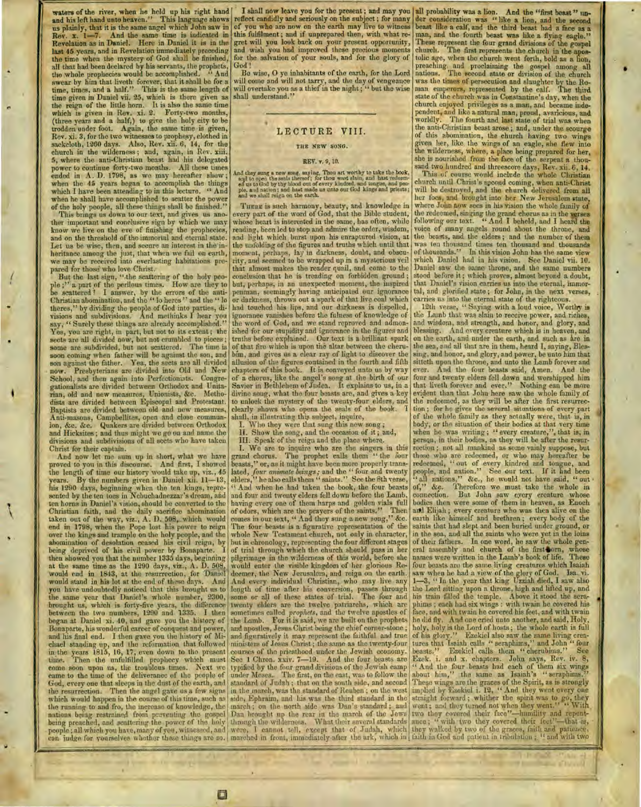waters of the river, when he held up his right hand and his left hand unto heaven." This language shows us plainly, that it is the same angel which John saw in Rev. x. 1-7. And the same time is indicated in Revelation as in Daniel. Here in Daniel it is in the last 45 years, and in Revelation immediately preceding<br>the time when the mystery of God shall be finished, when the mystery of God shall be finished, all that had been declared by his servants, the prophets, the whole prophecies would be accomplished. " And swear by him that liveth forever, that it shall be for a time, times, and a half." This is the same length of time given in Daniel vii. 25, which is there given as the reign of the little horn. It is also the same time which is given in Rev. xi. 2. Forty-two months, (three years and a half,) to give the holy city to be trodden under foot. Again, the same time is given, Rev. xi. 3, for the two witnesses to prophesy, clothed in sackcloth, 1260 days. Also, Rev. xii. 6, 14, for the church in the wilderness ; and, again, in Rev. 5, where the anti-Christian beast had his delegated power to continue forty-two months. All these times ended in A. D. 1798, as we may hereafter show; when the 45 years began to accomplish the things which I have been attending to in this lecture. " And when he shall have accomplished to scatter the power of the holy people, all these things shall be finished."

This brings us down to our text, and *gives* us another important and conclusive sign by which we may know we live on the eve of finishing the prophecies, and on the threshold of the immortal and eternal state. Let us be wise, then, and secure an interest in the inheritance among the just, that when we fail on earth, we may be received into everlasting habitations prepared for those who love Christ.

But the last sign, "the scattering of the holy people ;" a part of the perilous times. How are they to be scattered ? I answer, by the errors of the anti-Christian abomination, and the " lo heres " and the " lo theres," by dividing the people of God into parties, di-visions and subdivisions. And methinks I hear you say, " Surely these things are already accomplished. Yes, you are right, in part, but not to its extent; the sects are all divided now, but not crumbled to pieces; some are subdivided, but not scattered. The time is soon coming when father will be against the son, and son against the father. Yea, the sects are all divided Presbyterians are divided into Old and New School, and then again into Perfectionists. Congregationalists are divided between Orthodox and Unitarian, old and new measures, Unionists, &c. Methodists are divided between Episcopal and Protestant. Baptists are divided between old and new measures, Anti-masons, Campbellites, open and close communion, &c. &c. Quakers are divided between Orthodox and Hicksites ; and thus might we go on and name the divisions and subdivisions of all sects who have taken Christ for their captain.

And now let me sum up in short, what we have proved to you in this discourse. And first, I showed the length of time our history would take up, viz., 45 years. By the numbers given in Daniel xii. 11-13, his 1290 days, beginning when the ten *kings,* represented by the ten toes in Nebuchadnezzar's dream, and ten horns in Daniel's vision, should be converted to the Christian faith, and the daily sacrifice abomination taken out of the way, viz., A. D. 508, which would end in 1798, when the Pope lost his power to reign over the kings and trample on the holy people, and the abomination of desolation ceased his civil reign, by being deprived of his civil power by Bonaparte. then showed you that the number 1335 days, beginning at the same time as the 1290 days, viz., A. D. 508. would end in 1843, at the resurrection, for Daniel would stand in his lot at the end of these days. you have undoubtedly noticed that this brought us to the same year that Daniel's whole number, 2300, brought us, which is forty-five years, the difference between the two numbers, 1290 and 1335. I then began at Daniel xi. 40, and gave you file history of Bonaparte, his wonderful career of conquest and power, and his final end. I then gave you the history of Michael standing up, and the reformation that followed in the years 1815, 16, 17, even down to the present time. Then the unfulfilled prophecy which must come soon upon us, the troublous times. Next we came to the time of the deliverance of the people of God, every one that sleeps in the dust of the earth, and the resurrection. Then the angel gave usa few signs which would happen in the coarse of this time, such as the running to and fro, the increase of knowledge, the nations being restrained from preventing the gospel being preached, and scattering the power of the holy people ; all which you have, many of you, witnessed, and can judge for yourselves whether these things are so.

tl

**teinerfr., • .** 

I shall now leave you for the present; and may you all probability was a lion. And the "first beast" unreflect candidly and seriously on the subject ; for many of you who are now on the earth may live to witness this fulfilment ; and if unprepared then, with what regret will you look back on your present opportunity, and wish you had improved these precious moments for the salvation of your souls, and for the glory of God!

Be wise, 0 ye inhabitants of the earth, for the Lord will come and will not tarry, and the day of vengeance will overtake you as a thief in the night; " but the wise shall understand."

•

#### **LECTURE VIII.**

#### **THE NEW SONG.**

#### **REV. v. 9, 10.**

And they ame a new sone, way ing, Thou art worthy to take the book, and to open the senial theory of the senial state of the senial of the senial state of the senial state of the senial state of the senial state of the sen

**THERE** is such harmony, beauty, and knowledge in every part of the word of God, that the Bible student, whose heart is interested in the same, has often, while reading, been led to stop and admire the order, wisdom, and light which burst upon his enraptured vision, at the unfolding of the figures and truths which until that moment, perhaps, lay in darkness, doubt, and obscurity, and seemed to be wrapped up in a mysterious veil that almost makes the reader quail, and come to the conclusion that he is treading on forbidden ground ; but, perhaps, in an unexpected moment, the inspired penman, seemingly having anticipated our ignorance or darkness, throws out a spark of that live coal which had touched his lips, and our darkness is dispelled, ignorance vanishes before the fulness of knowledge of the word of God, and we stand reproved and admonished for our stupidity and ignorance in the figures and truths before explained. Our text is a brilliant spark of that fire which is upon the altar between the cherubim, and gives us a clear ray of light to discover the allusion of the figures contained in the fourth and fifth chapters of this book. It is conveyed unto us by way of a chorus, like the angel's song at the birth of our Savior in Bethlehem of Judea. It explains to us, in a divine song, what the four beasts are, and gives a key to unlock the mystery of the twenty-four elders, and clearly shows who opens the seals of the book. shall, in illustrating this subject, inquire,

Who they were that sung this new song ;

H. Show the song, and the occasion of it ; and,

III. Speak of the reign and the place where.

I. We are to inquire who are the singers in this grand chorus. The prophet calls them " the four beasts," or, as it might have been more properly translated, *four animate beings;* and the " four and twenty elders," he also calls them " saints." See the 8th verse, And when he had taken the book, the four beasts and four and twenty elders fell down before the Lamb, having every one of them harps and golden vials full of odors, which are the prayers of the saints." Then comes in our text, " And they sung a new song," &c. The four beasts is a figurative representation of the whole New Testament church, not only in character, but in chronology, representing the four different stages of trial through which the church should pass in her pilgrimage in the wilderness of this world, before she would enter the visible kingdom of her glorious Redeemer, the New Jerusalem, and reign on the earth. And every individual Christian, who may live any length of time after his conversion, passes through some or all of these states of trial. The four and twenty elders are the twelve patriarchs, which are sometimes called *prophets,* and the twelve apostles of the Lamb. For it is said, we are built on the prophets and apostles, Jesus Christ being the chief corner-stone ; and figuratively it may represent the faithful and true ministers of Jesus Christ ; the same as the twenty-four courses of the priesthood under the Jewish economy. See 1 Chron. xxiv. 7-19. And the four beasts are typified by the four grand divisions of the Jewish camp<br>under Moses. The first, on the east, was to follow the The first, on the east, was to follow the standard of Judah ; that on the south side, and second in the march, was the standard of Reuben; on the west side, Ephraim, and his was the third standard in the march ; on the north side was Dan's standard ; and Dan brought up the rear in the march of the Jews through the wilderness. What their several standards *were,* I cannot tell, except that of Judah, which marched in front, immediately after the ark, which in

der consideration was " like a lion, and the second beast like a calf, and the third beast had a face as a man, and the fourth beast was like a flying eagle." These represent the four grand divisions of the gospel church. The first represents the church in the apos-The first represents the church in the apostolic age, when tho church went forth, bold as a lion, preaching. and proclaiming the gospel among all nations. The second state or division of the, church was the times of persecution and slaughter by the Ro-man emperors, represented by the calf. The third state of the church was in Constantine's day, when the church enjoyed privileges as a man, and became independent, and like a natural man, proud, avaricious, and The fourth and last state of trial was when the anti-Christian beast arose ; and, under the scourge of this abomination, the church having two wings given her, like the wings of an eagle, she flew into the wilderness, where, a place being prepared for her, she is nourished from the face of the serpent a thousand two hundred and threescore days, Rev. xii. 6, 14.

This of course would include the whole Christian church until Christ's second coming, when anti-Christ will be destroyed, and the church delivered from all her foes, and brought into her New Jerusalem state, where John now sees in his vision the whole family of the redeemed, singing the grand chorus as in the verses following our text. " And I beheld, and I heatd the voice of many angels round about the throne, and the beasts, and the elders ; and the number of them was ten thousand. times ten thousand and thousands of thousands." In this vision John has the same view which Daniel had in his vision. See Daniel vii. 10. Daniel saw the same throne, and the same numbers stood before it ; which proves, almost beyond a doubt, that Daniel's vision carries us into the eternal, immortal, and glorified state ; for John, in the next verses, carries us into the eternal state of the righteous.

12th verse, " Saying with a loud voice, Worthy is the Lamb that was slain to receive power, and riches, and wisdom, and strength, and honor, and glory, and blessing. And every creature which is in heaven, and on the earth, and under the earth, and such as are in the sea, and all that are in them, heard I, saying, Blessing, and honor, and glory, and power, be unto him that sitteth upon the throne, and unto the Lamb forever and ever. And the four beasts said, Amen. And the four and twenty elders fell down and worshipped him that liveth forever and ever." Nothing can be more evident than that John here saw the whole family of the redeemed, as they will be after the first resurrection ; for he gives the several situations of every part of the whole family as they actually were, that is, in body, or the situation of their bodies at that very time when he was writing ; " every creature,", that is; in person, in their bodies, as they will be after the resurrection ; not all mankind as some vainly suppose, but those who are redeemed, or who may hereafter be redeemed, " out of every kindred and tongue, and people, and nation." See our text. If it had been " all nations," &c., he would not have said, " out • of," &c. Therefore we must take the whole in connection. But John saw eyery creature whose connection. But John saw every creature whose bodies then were some of them in heaven, as Enoch add Elijah ; every creature who was then alive on the earth like himself and brethren ; every body of the saints that had slept and been buried under ground, or in the sea, and all the saints who were yet in the loins of their fathers. In one word, he saw the whole general assembly and church of the first-orn, whose names were written in the Lamb's book of life. These names were written in the Lamb's book of life. four beasts are the same living creatures which Isaiah saw when he had a view of the glory of God. Isa. vi.<br>1—3, '' In the year that king Uzziah died, I saw also the Lord sitting upon a throne, high and lifted up, and his train filled the temple. Above it stood the seraphims ; each had six wings : with twain he covered his ace, and with twain he covered his feet, and with twain he did fly. And one cried unto another, and said, Holy, holy, holy is the Lord of hosts ; the whole earth is full of his glory." Ezekiel also saw the same living crea-<br>tures that Isaiah calls "seraphims," and John " four tures that Isaiah calls " seraphims," and John " four beasts." Ezekiel calls them " cherubims." See Ezekiel calls them " cherubims." Ezek. i. and x. chapters. John says, Rev. iv. 8, " And the four beasts had each of them six wings about him," the same as Isaiah's " seraphims.' These wings are the graces of the Spirit, as is strongly implied by Ezekiel i. 12, " And they went every one straight forward ; whither the spirit was to go, they went; and they turned not when they went." " With two they covered their face"—humility and repentance; " with two they covered their feet"-that they walked by two of the graces, faith and patience, faith in God and patient in tribulation ; " and with two

**,f•At.** 

•

o